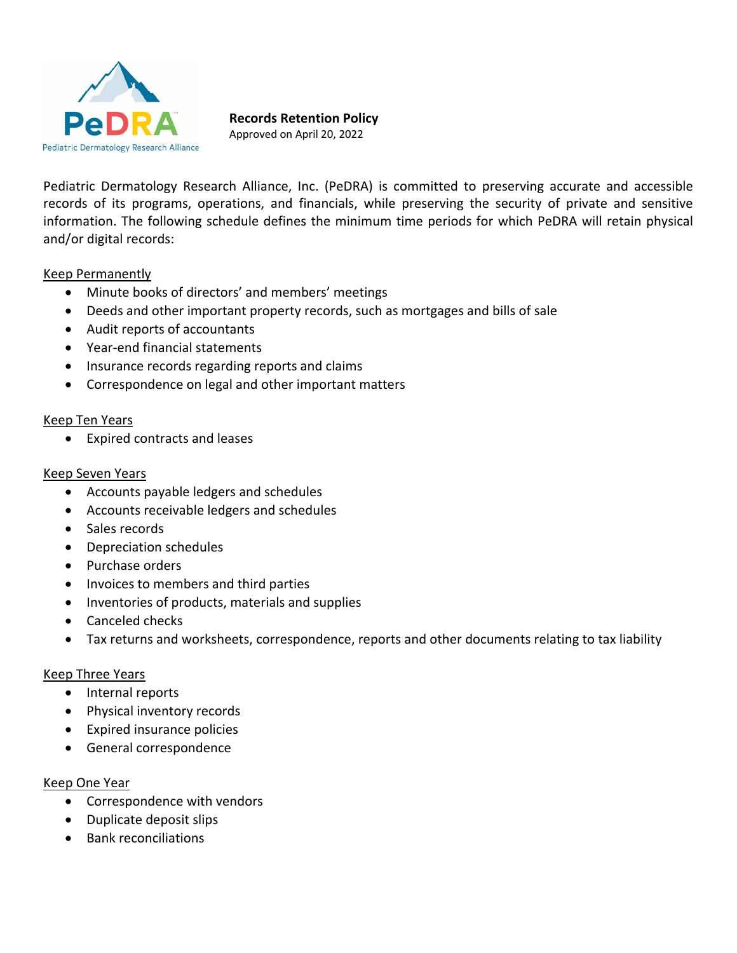

## **Records Retention Policy**

Approved on April 20, 2022

Pediatric Dermatology Research Alliance, Inc. (PeDRA) is committed to preserving accurate and accessible records of its programs, operations, and financials, while preserving the security of private and sensitive information. The following schedule defines the minimum time periods for which PeDRA will retain physical and/or digital records:

## Keep Permanently

- Minute books of directors' and members' meetings
- Deeds and other important property records, such as mortgages and bills of sale
- Audit reports of accountants
- Year-end financial statements
- Insurance records regarding reports and claims
- Correspondence on legal and other important matters

#### Keep Ten Years

Expired contracts and leases

#### Keep Seven Years

- Accounts payable ledgers and schedules
- Accounts receivable ledgers and schedules
- Sales records
- Depreciation schedules
- Purchase orders
- Invoices to members and third parties
- Inventories of products, materials and supplies
- Canceled checks
- Tax returns and worksheets, correspondence, reports and other documents relating to tax liability

## Keep Three Years

- Internal reports
- Physical inventory records
- Expired insurance policies
- General correspondence

## Keep One Year

- Correspondence with vendors
- Duplicate deposit slips
- Bank reconciliations